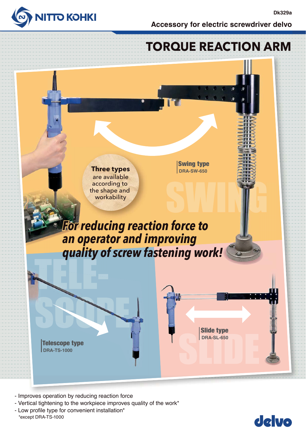



### **Accessory for electric screwdriver delvo**

# **TORQUE REACTION ARM**

Slide type **DRA-SL-650**



Telescope type **DRA-TS-1000**

- Improves operation by reducing reaction force
- Vertical tightening to the workpiece improves quality of the work\*
- Low profile type for convenient installation\* \*except DRA-TS-1000